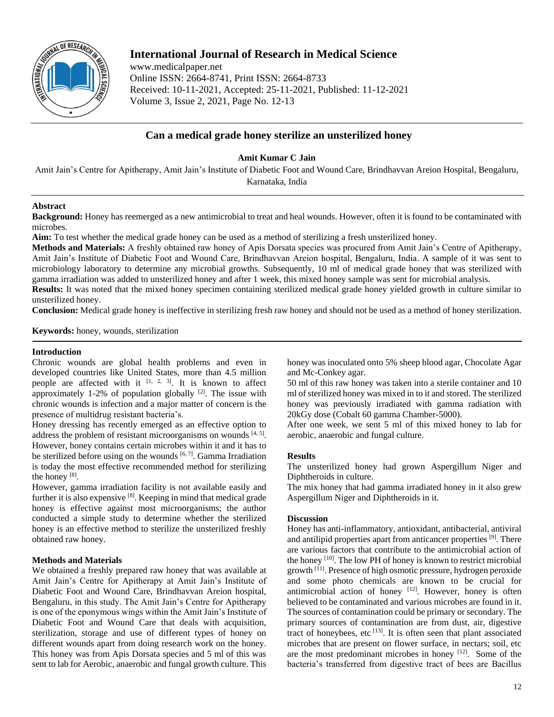

# **International Journal of Research in Medical Science**

www.medicalpaper.net Online ISSN: 2664-8741, Print ISSN: 2664-8733 Received: 10-11-2021, Accepted: 25-11-2021, Published: 11-12-2021 Volume 3, Issue 2, 2021, Page No. 12-13

# **Can a medical grade honey sterilize an unsterilized honey**

**Amit Kumar C Jain**

Amit Jain's Centre for Apitherapy, Amit Jain's Institute of Diabetic Foot and Wound Care, Brindhavvan Areion Hospital, Bengaluru, Karnataka, India

# **Abstract**

**Background:** Honey has reemerged as a new antimicrobial to treat and heal wounds. However, often it is found to be contaminated with microbes.

**Aim:** To test whether the medical grade honey can be used as a method of sterilizing a fresh unsterilized honey.

**Methods and Materials:** A freshly obtained raw honey of Apis Dorsata species was procured from Amit Jain's Centre of Apitherapy, Amit Jain's Institute of Diabetic Foot and Wound Care, Brindhavvan Areion hospital, Bengaluru, India. A sample of it was sent to microbiology laboratory to determine any microbial growths. Subsequently, 10 ml of medical grade honey that was sterilized with gamma irradiation was added to unsterilized honey and after 1 week, this mixed honey sample was sent for microbial analysis.

**Results:** It was noted that the mixed honey specimen containing sterilized medical grade honey yielded growth in culture similar to unsterilized honey.

**Conclusion:** Medical grade honey is ineffective in sterilizing fresh raw honey and should not be used as a method of honey sterilization.

**Keywords:** honey, wounds, sterilization

# **Introduction**

Chronic wounds are global health problems and even in developed countries like United States, more than 4.5 million people are affected with it  $[1, 2, 3]$ . It is known to affect approximately 1-2% of population globally  $[2]$ . The issue with chronic wounds is infection and a major matter of concern is the presence of multidrug resistant bacteria's.

Honey dressing has recently emerged as an effective option to address the problem of resistant microorganisms on wounds  $[4, 5]$ . However, honey contains certain microbes within it and it has to be sterilized before using on the wounds  $[6, 7]$ . Gamma Irradiation is today the most effective recommended method for sterilizing the honey<sup>[8]</sup>.

However, gamma irradiation facility is not available easily and further it is also expensive [8]. Keeping in mind that medical grade honey is effective against most microorganisms; the author conducted a simple study to determine whether the sterilized honey is an effective method to sterilize the unsterilized freshly obtained raw honey.

# **Methods and Materials**

We obtained a freshly prepared raw honey that was available at Amit Jain's Centre for Apitherapy at Amit Jain's Institute of Diabetic Foot and Wound Care, Brindhavvan Areion hospital, Bengaluru, in this study. The Amit Jain's Centre for Apitherapy is one of the eponymous wings within the Amit Jain's Institute of Diabetic Foot and Wound Care that deals with acquisition, sterilization, storage and use of different types of honey on different wounds apart from doing research work on the honey. This honey was from Apis Dorsata species and 5 ml of this was sent to lab for Aerobic, anaerobic and fungal growth culture. This

honey was inoculated onto 5% sheep blood agar, Chocolate Agar and Mc-Conkey agar.

50 ml of this raw honey was taken into a sterile container and 10 ml of sterilized honey was mixed in to it and stored. The sterilized honey was previously irradiated with gamma radiation with 20kGy dose (Cobalt 60 gamma Chamber-5000).

After one week, we sent 5 ml of this mixed honey to lab for aerobic, anaerobic and fungal culture.

#### **Results**

The unsterilized honey had grown Aspergillum Niger and Diphtheroids in culture.

The mix honey that had gamma irradiated honey in it also grew Aspergillum Niger and Diphtheroids in it.

#### **Discussion**

Honey has anti-inflammatory, antioxidant, antibacterial, antiviral and antilipid properties apart from anticancer properties [9]. There are various factors that contribute to the antimicrobial action of the honey [10]. The low PH of honey is known to restrict microbial growth <sup>[11]</sup>. Presence of high osmotic pressure, hydrogen peroxide and some photo chemicals are known to be crucial for antimicrobial action of honey  $[12]$ . However, honey is often believed to be contaminated and various microbes are found in it. The sources of contamination could be primary or secondary. The primary sources of contamination are from dust, air, digestive tract of honeybees, etc  $^{[13]}$ . It is often seen that plant associated microbes that are present on flower surface, in nectars; soil, etc are the most predominant microbes in honey  $[12]$ . Some of the bacteria's transferred from digestive tract of bees are Bacillus